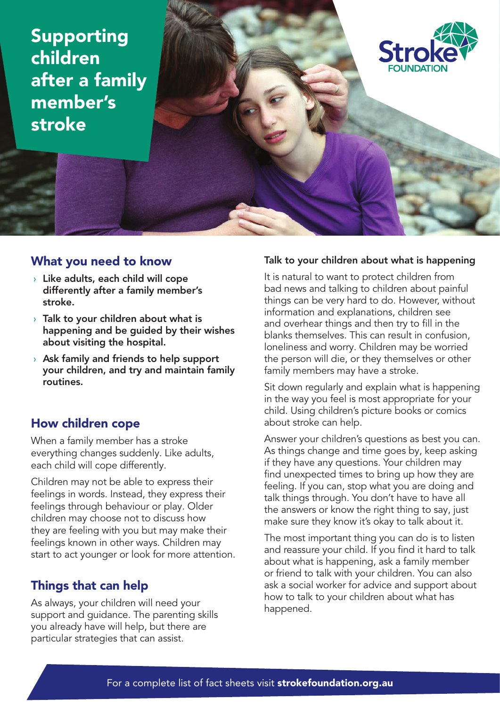Supporting children after a family member's stroke



# What you need to know

- $\rightarrow$  Like adults, each child will cope differently after a family member's stroke.
- $\rightarrow$  Talk to your children about what is happening and be guided by their wishes about visiting the hospital.
- $\rightarrow$  Ask family and friends to help support your children, and try and maintain family routines.

# How children cope

When a family member has a stroke everything changes suddenly. Like adults, each child will cope differently.

Children may not be able to express their feelings in words. Instead, they express their feelings through behaviour or play. Older children may choose not to discuss how they are feeling with you but may make their feelings known in other ways. Children may start to act younger or look for more attention.

# Things that can help

As always, your children will need your support and guidance. The parenting skills you already have will help, but there are particular strategies that can assist.

## Talk to your children about what is happening

It is natural to want to protect children from bad news and talking to children about painful things can be very hard to do. However, without information and explanations, children see and overhear things and then try to fill in the blanks themselves. This can result in confusion, loneliness and worry. Children may be worried the person will die, or they themselves or other family members may have a stroke.

Sit down regularly and explain what is happening in the way you feel is most appropriate for your child. Using children's picture books or comics about stroke can help.

Answer your children's questions as best you can. As things change and time goes by, keep asking if they have any questions. Your children may find unexpected times to bring up how they are feeling. If you can, stop what you are doing and talk things through. You don't have to have all the answers or know the right thing to say, just make sure they know it's okay to talk about it.

The most important thing you can do is to listen and reassure your child. If you find it hard to talk about what is happening, ask a family member or friend to talk with your children. You can also ask a social worker for advice and support about how to talk to your children about what has happened.